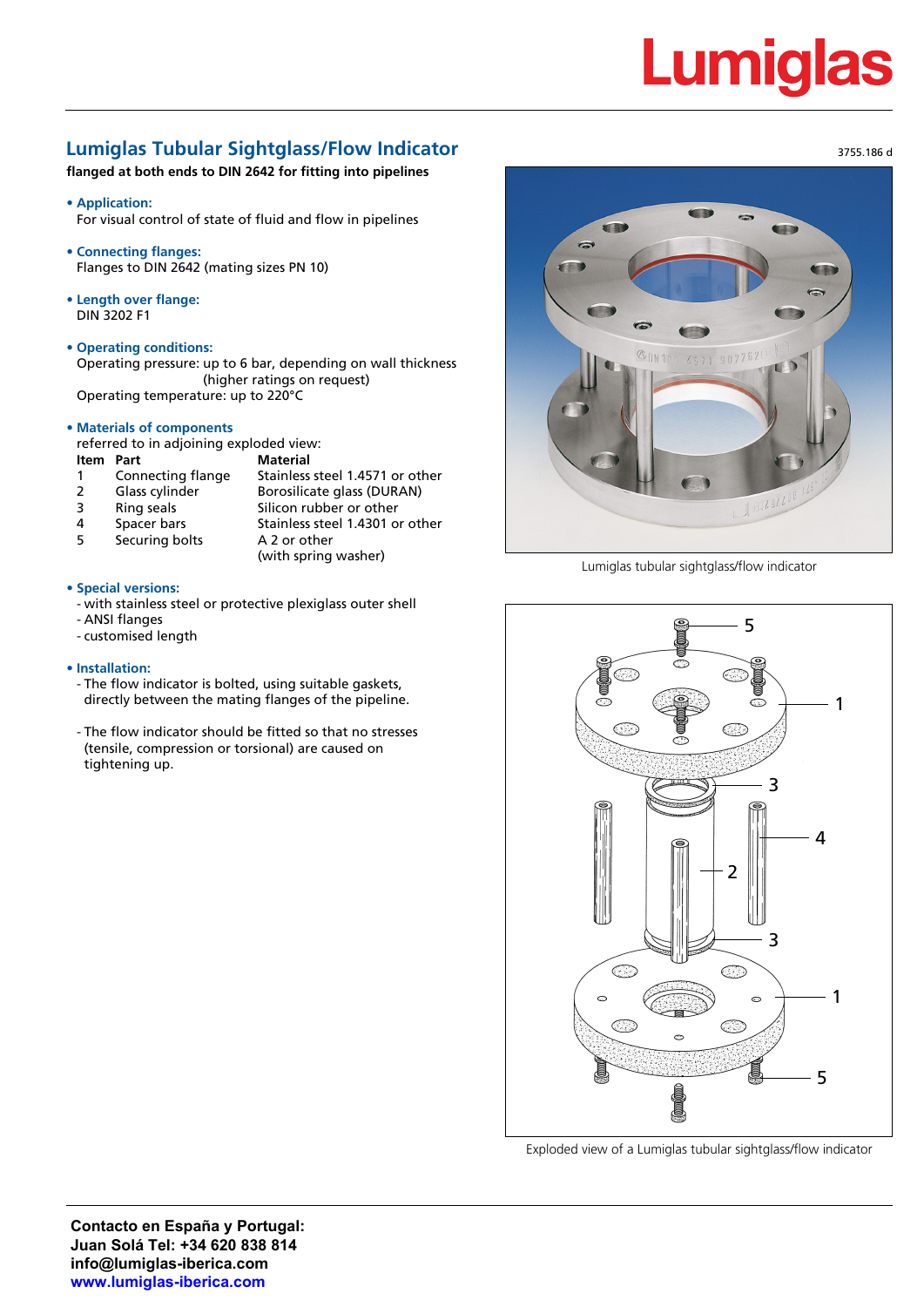# **Lumiglas**

# **Lumiglas Tubular Sightglass/Flow Indicator**

**flanged at both ends to DIN 2642 for fitting into pipelines**

**• Application:**

For visual control of state of fluid and flow in pipelines

- **• Connecting flanges:** Flanges to DIN 2642 (mating sizes PN 10)
- **• Length over flange:** DIN 3202 F1
- **• Operating conditions:**

Operating pressure: up to 6 bar, depending on wall thickness (higher ratings on request) Operating temperature: up to 220°C

**• Materials of components**

referred to in adjoining exploded view:

**Item Part Material**

- 
- 1 Connecting flange Stainless steel 1.4571 or other 2 Glass cylinder Borosilicate glass (DURAN)<br>3 Ring seals Silicon rubber or other Silicon rubber or other 4 Spacer bars Stainless steel 1.4301 or other
- 5 Securing bolts A 2 or other
- (with spring washer)

### **• Special versions:**

- with stainless steel or protective plexiglass outer shell

- ANSI flanges
- customised length

#### **• Installation:**

- The flow indicator is bolted, using suitable gaskets, directly between the mating flanges of the pipeline.
- The flow indicator should be fitted so that no stresses (tensile, compression or torsional) are caused on tightening up.



Lumiglas tubular sightglass/flow indicator



Exploded view of a Lumiglas tubular sightglass/flow indicator

3755.186 d